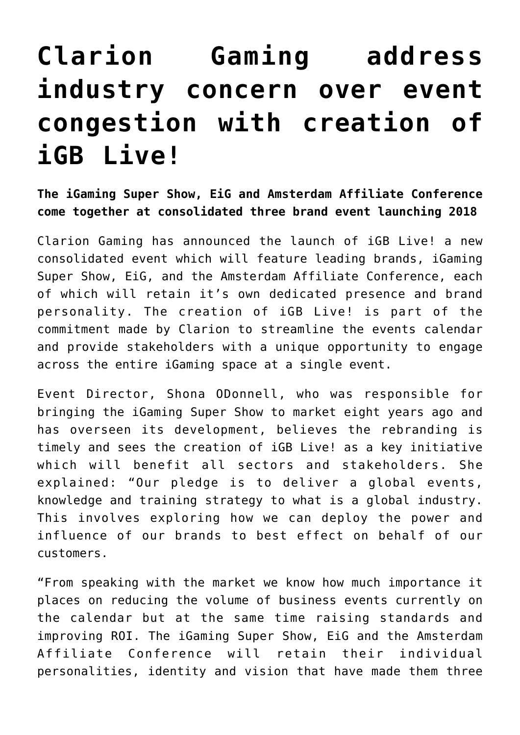## **[Clarion Gaming address](https://www.isa-guide.de/english-news/articles/170072.html) [industry concern over event](https://www.isa-guide.de/english-news/articles/170072.html) [congestion with creation of](https://www.isa-guide.de/english-news/articles/170072.html) [iGB Live!](https://www.isa-guide.de/english-news/articles/170072.html)**

**The iGaming Super Show, EiG and Amsterdam Affiliate Conference come together at consolidated three brand event launching 2018**

Clarion Gaming has announced the launch of iGB Live! a new consolidated event which will feature leading brands, iGaming Super Show, EiG, and the Amsterdam Affiliate Conference, each of which will retain it's own dedicated presence and brand personality. The creation of iGB Live! is part of the commitment made by Clarion to streamline the events calendar and provide stakeholders with a unique opportunity to engage across the entire iGaming space at a single event.

Event Director, Shona ODonnell, who was responsible for bringing the iGaming Super Show to market eight years ago and has overseen its development, believes the rebranding is timely and sees the creation of iGB Live! as a key initiative which will benefit all sectors and stakeholders. She explained: "Our pledge is to deliver a global events, knowledge and training strategy to what is a global industry. This involves exploring how we can deploy the power and influence of our brands to best effect on behalf of our customers.

"From speaking with the market we know how much importance it places on reducing the volume of business events currently on the calendar but at the same time raising standards and improving ROI. The iGaming Super Show, EiG and the Amsterdam Affiliate Conference will retain their individual personalities, identity and vision that have made them three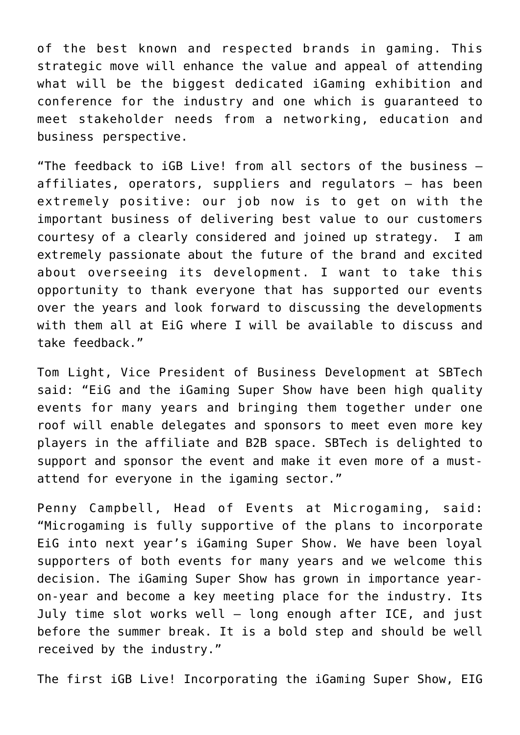of the best known and respected brands in gaming. This strategic move will enhance the value and appeal of attending what will be the biggest dedicated iGaming exhibition and conference for the industry and one which is guaranteed to meet stakeholder needs from a networking, education and business perspective.

"The feedback to iGB Live! from all sectors of the business – affiliates, operators, suppliers and regulators – has been extremely positive: our job now is to get on with the important business of delivering best value to our customers courtesy of a clearly considered and joined up strategy. I am extremely passionate about the future of the brand and excited about overseeing its development. I want to take this opportunity to thank everyone that has supported our events over the years and look forward to discussing the developments with them all at EiG where I will be available to discuss and take feedback."

Tom Light, Vice President of Business Development at SBTech said: "EiG and the iGaming Super Show have been high quality events for many years and bringing them together under one roof will enable delegates and sponsors to meet even more key players in the affiliate and B2B space. SBTech is delighted to support and sponsor the event and make it even more of a mustattend for everyone in the igaming sector."

Penny Campbell, Head of Events at Microgaming, said: "Microgaming is fully supportive of the plans to incorporate EiG into next year's iGaming Super Show. We have been loyal supporters of both events for many years and we welcome this decision. The iGaming Super Show has grown in importance yearon-year and become a key meeting place for the industry. Its July time slot works well – long enough after ICE, and just before the summer break. It is a bold step and should be well received by the industry."

The first iGB Live! Incorporating the iGaming Super Show, EIG